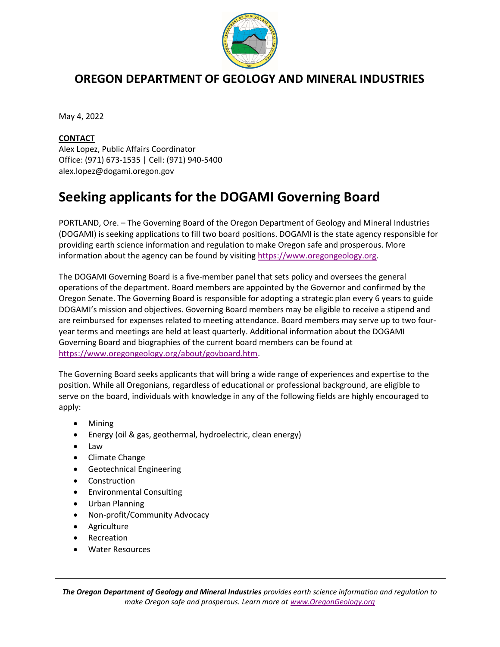

## OREGON DEPARTMENT OF GEOLOGY AND MINERAL INDUSTRIES

May 4, 2022

## **CONTACT**

Alex Lopez, Public Affairs Coordinator Office: (971) 673-1535 | Cell: (971) 940-5400 alex.lopez@dogami.oregon.gov

## Seeking applicants for the DOGAMI Governing Board

PORTLAND, Ore. – The Governing Board of the Oregon Department of Geology and Mineral Industries (DOGAMI) is seeking applications to fill two board positions. DOGAMI is the state agency responsible for providing earth science information and regulation to make Oregon safe and prosperous. More information about the agency can be found by visiting https://www.oregongeology.org.

The DOGAMI Governing Board is a five-member panel that sets policy and oversees the general operations of the department. Board members are appointed by the Governor and confirmed by the Oregon Senate. The Governing Board is responsible for adopting a strategic plan every 6 years to guide DOGAMI's mission and objectives. Governing Board members may be eligible to receive a stipend and are reimbursed for expenses related to meeting attendance. Board members may serve up to two fouryear terms and meetings are held at least quarterly. Additional information about the DOGAMI Governing Board and biographies of the current board members can be found at https://www.oregongeology.org/about/govboard.htm.

The Governing Board seeks applicants that will bring a wide range of experiences and expertise to the position. While all Oregonians, regardless of educational or professional background, are eligible to serve on the board, individuals with knowledge in any of the following fields are highly encouraged to apply:

- Mining
- Energy (oil & gas, geothermal, hydroelectric, clean energy)
- Law
- Climate Change
- Geotechnical Engineering
- Construction
- Environmental Consulting
- Urban Planning
- Non-profit/Community Advocacy
- Agriculture
- Recreation
- Water Resources

The Oregon Department of Geology and Mineral Industries provides earth science information and regulation to make Oregon safe and prosperous. Learn more at www.OregonGeology.org